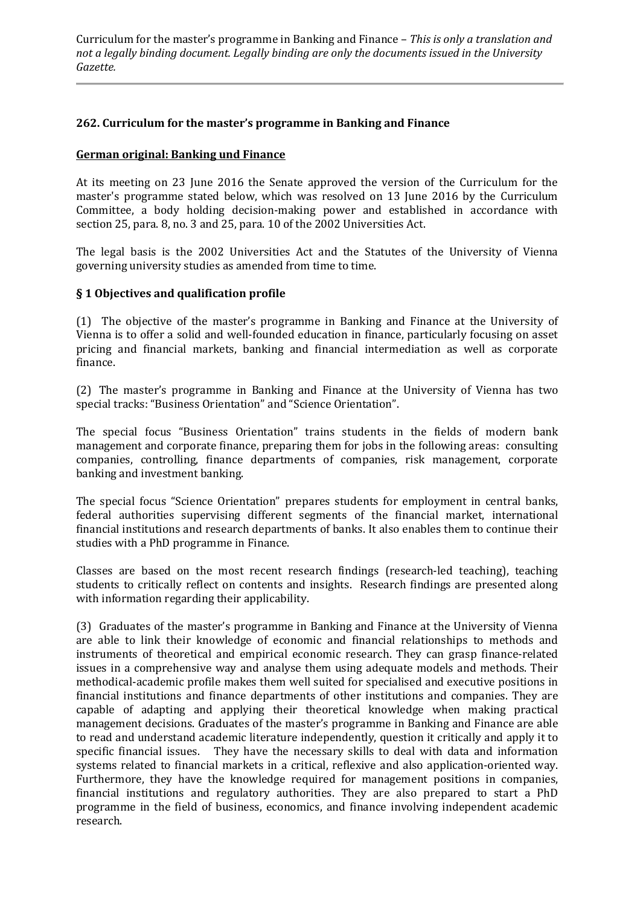#### **262. Curriculum for the master's programme in Banking and Finance**

#### **German original: Banking und Finance**

At its meeting on 23 June 2016 the Senate approved the version of the Curriculum for the master's programme stated below, which was resolved on 13 June 2016 by the Curriculum Committee, a body holding decision-making power and established in accordance with section 25, para. 8, no. 3 and 25, para. 10 of the 2002 Universities Act.

The legal basis is the 2002 Universities Act and the Statutes of the University of Vienna governing university studies as amended from time to time.

#### **§ 1 Objectives and qualification profile**

(1) The objective of the master's programme in Banking and Finance at the University of Vienna is to offer a solid and well-founded education in finance, particularly focusing on asset pricing and financial markets, banking and financial intermediation as well as corporate finance.

(2) The master's programme in Banking and Finance at the University of Vienna has two special tracks: "Business Orientation" and "Science Orientation".

The special focus "Business Orientation" trains students in the fields of modern bank management and corporate finance, preparing them for jobs in the following areas: consulting companies, controlling, finance departments of companies, risk management, corporate banking and investment banking.

The special focus "Science Orientation" prepares students for employment in central banks, federal authorities supervising different segments of the financial market, international financial institutions and research departments of banks. It also enables them to continue their studies with a PhD programme in Finance.

Classes are based on the most recent research findings (research-led teaching), teaching students to critically reflect on contents and insights. Research findings are presented along with information regarding their applicability.

(3) Graduates of the master's programme in Banking and Finance at the University of Vienna are able to link their knowledge of economic and financial relationships to methods and instruments of theoretical and empirical economic research. They can grasp finance-related issues in a comprehensive way and analyse them using adequate models and methods. Their methodical-academic profile makes them well suited for specialised and executive positions in financial institutions and finance departments of other institutions and companies. They are capable of adapting and applying their theoretical knowledge when making practical management decisions. Graduates of the master's programme in Banking and Finance are able to read and understand academic literature independently, question it critically and apply it to specific financial issues. They have the necessary skills to deal with data and information systems related to financial markets in a critical, reflexive and also application-oriented way. Furthermore, they have the knowledge required for management positions in companies, financial institutions and regulatory authorities. They are also prepared to start a PhD programme in the field of business, economics, and finance involving independent academic research.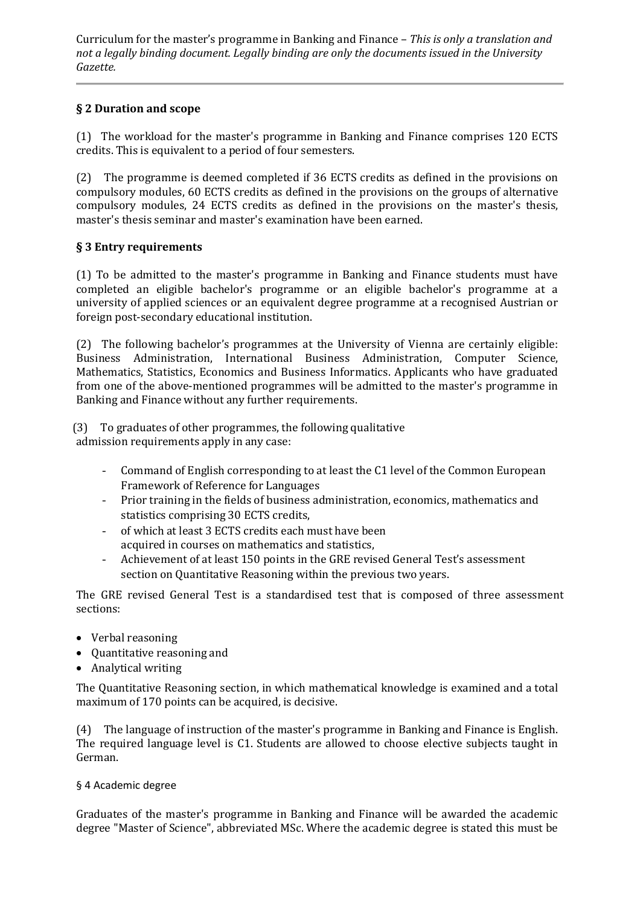# **§ 2 Duration and scope**

(1) The workload for the master's programme in Banking and Finance comprises 120 ECTS credits. This is equivalent to a period of four semesters.

(2) The programme is deemed completed if 36 ECTS credits as defined in the provisions on compulsory modules, 60 ECTS credits as defined in the provisions on the groups of alternative compulsory modules, 24 ECTS credits as defined in the provisions on the master's thesis, master's thesis seminar and master's examination have been earned.

### **§ 3 Entry requirements**

(1) To be admitted to the master's programme in Banking and Finance students must have completed an eligible bachelor's programme or an eligible bachelor's programme at a university of applied sciences or an equivalent degree programme at a recognised Austrian or foreign post-secondary educational institution.

(2) The following bachelor's programmes at the University of Vienna are certainly eligible: Business Administration, International Business Administration, Computer Science, Mathematics, Statistics, Economics and Business Informatics. Applicants who have graduated from one of the above-mentioned programmes will be admitted to the master's programme in Banking and Finance without any further requirements.

(3) To graduates of other programmes, the following qualitative admission requirements apply in any case:

- Command of English corresponding to at least the C1 level of the Common European Framework of Reference for Languages
- Prior training in the fields of business administration, economics, mathematics and statistics comprising 30 ECTS credits,
- of which at least 3 ECTS credits each must have been acquired in courses on mathematics and statistics,
- Achievement of at least 150 points in the GRE revised General Test's assessment section on Quantitative Reasoning within the previous two years.

The GRE revised General Test is a standardised test that is composed of three assessment sections:

- Verbal reasoning
- Quantitative reasoning and
- Analytical writing

The Quantitative Reasoning section, in which mathematical knowledge is examined and a total maximum of 170 points can be acquired, is decisive.

(4) The language of instruction of the master's programme in Banking and Finance is English. The required language level is C1. Students are allowed to choose elective subjects taught in German.

### § 4 Academic degree

Graduates of the master's programme in Banking and Finance will be awarded the academic degree "Master of Science", abbreviated MSc. Where the academic degree is stated this must be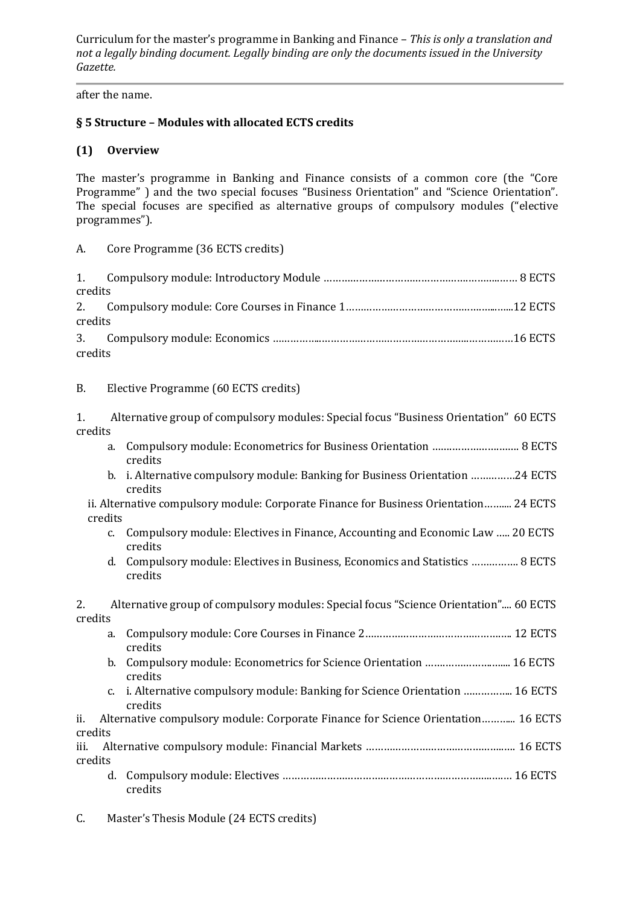after the name.

# **§ 5 Structure – Modules with allocated ECTS credits**

## **(1) Overview**

The master's programme in Banking and Finance consists of a common core (the "Core Programme" ) and the two special focuses "Business Orientation" and "Science Orientation". The special focuses are specified as alternative groups of compulsory modules ("elective programmes").

### A. Core Programme (36 ECTS credits)

| credits |  |
|---------|--|
|         |  |
| credits |  |
|         |  |
| credits |  |

#### B. Elective Programme (60 ECTS credits)

|         | Alternative group of compulsory modules: Special focus "Business Orientation" 60 ECTS |  |
|---------|---------------------------------------------------------------------------------------|--|
| credits |                                                                                       |  |

- a. Compulsory module: Econometrics for Business Orientation …….…………….……. 8 ECTS credits
- b. i. Alternative compulsory module: Banking for Business Orientation ……………24 ECTS credits
- ii. Alternative compulsory module: Corporate Finance for Business Orientation…….... 24 ECTS credits
	- c. Compulsory module: Electives in Finance, Accounting and Economic Law ….. 20 ECTS credits
	- d. Compulsory module: Electives in Business, Economics and Statistics ……………. 8 ECTS credits

2. Alternative group of compulsory modules: Special focus "Science Orientation".... 60 ECTS credits

- a. Compulsory module: Core Courses in Finance 2……………………………………….…. 12 ECTS credits
- b. Compulsory module: Econometrics for Science Orientation …….…………….….... 16 ECTS credits
- c. i. Alternative compulsory module: Banking for Science Orientation …………….. 16 ECTS credits

ii. Alternative compulsory module: Corporate Finance for Science Orientation………... 16 ECTS credits

iii. Alternative compulsory module: Financial Markets ………………………………………..…. 16 ECTS credits d. Compulsory module: Electives ……………………………………………………………..….… 16 ECTS

- credits
- C. Master's Thesis Module (24 ECTS credits)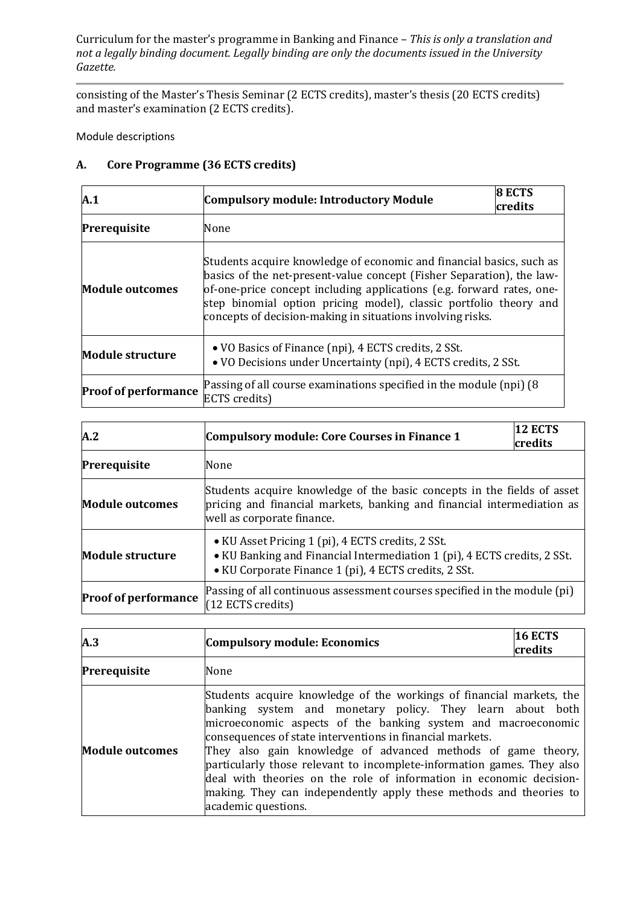consisting of the Master's Thesis Seminar (2 ECTS credits), master's thesis (20 ECTS credits) and master's examination (2 ECTS credits).

Module descriptions

# **A. Core Programme (36 ECTS credits)**

| A.1                         | <b>Compulsory module: Introductory Module</b>                                                                                                                                                                                                                                                                                                             | 8 ECTS<br>credits |
|-----------------------------|-----------------------------------------------------------------------------------------------------------------------------------------------------------------------------------------------------------------------------------------------------------------------------------------------------------------------------------------------------------|-------------------|
| Prerequisite                | None                                                                                                                                                                                                                                                                                                                                                      |                   |
| <b>Module outcomes</b>      | Students acquire knowledge of economic and financial basics, such as<br>basics of the net-present-value concept (Fisher Separation), the law-<br>of-one-price concept including applications (e.g. forward rates, one-<br>step binomial option pricing model), classic portfolio theory and<br>concepts of decision-making in situations involving risks. |                   |
| <b>Module structure</b>     | • VO Basics of Finance (npi), 4 ECTS credits, 2 SSt.<br>. VO Decisions under Uncertainty (npi), 4 ECTS credits, 2 SSt.                                                                                                                                                                                                                                    |                   |
| <b>Proof of performance</b> | Passing of all course examinations specified in the module (npi) (8)<br>ECTS credits)                                                                                                                                                                                                                                                                     |                   |

| A.2                         | <b>Compulsory module: Core Courses in Finance 1</b>                                                                                                                                    | 12 ECTS<br>credits |
|-----------------------------|----------------------------------------------------------------------------------------------------------------------------------------------------------------------------------------|--------------------|
| Prerequisite                | None                                                                                                                                                                                   |                    |
| <b>Module outcomes</b>      | Students acquire knowledge of the basic concepts in the fields of asset<br>pricing and financial markets, banking and financial intermediation as<br>well as corporate finance.        |                    |
| Module structure            | • KU Asset Pricing 1 (pi), 4 ECTS credits, 2 SSt.<br>• KU Banking and Financial Intermediation 1 (pi), 4 ECTS credits, 2 SSt.<br>• KU Corporate Finance 1 (pi), 4 ECTS credits, 2 SSt. |                    |
| <b>Proof of performance</b> | Passing of all continuous assessment courses specified in the module (pi)<br>(12 ECTS credits)                                                                                         |                    |

| A.3                    | <b>Compulsory module: Economics</b>                                                                                                                                                                                                                                                                                                                                                                                                                                                                                                                                           | 16 ECTS<br>credits |
|------------------------|-------------------------------------------------------------------------------------------------------------------------------------------------------------------------------------------------------------------------------------------------------------------------------------------------------------------------------------------------------------------------------------------------------------------------------------------------------------------------------------------------------------------------------------------------------------------------------|--------------------|
| Prerequisite           | None                                                                                                                                                                                                                                                                                                                                                                                                                                                                                                                                                                          |                    |
| <b>Module outcomes</b> | Students acquire knowledge of the workings of financial markets, the<br>banking system and monetary policy. They learn about both<br>microeconomic aspects of the banking system and macroeconomic<br>consequences of state interventions in financial markets.<br>They also gain knowledge of advanced methods of game theory,<br>particularly those relevant to incomplete-information games. They also<br>deal with theories on the role of information in economic decision-<br>making. They can independently apply these methods and theories to<br>academic questions. |                    |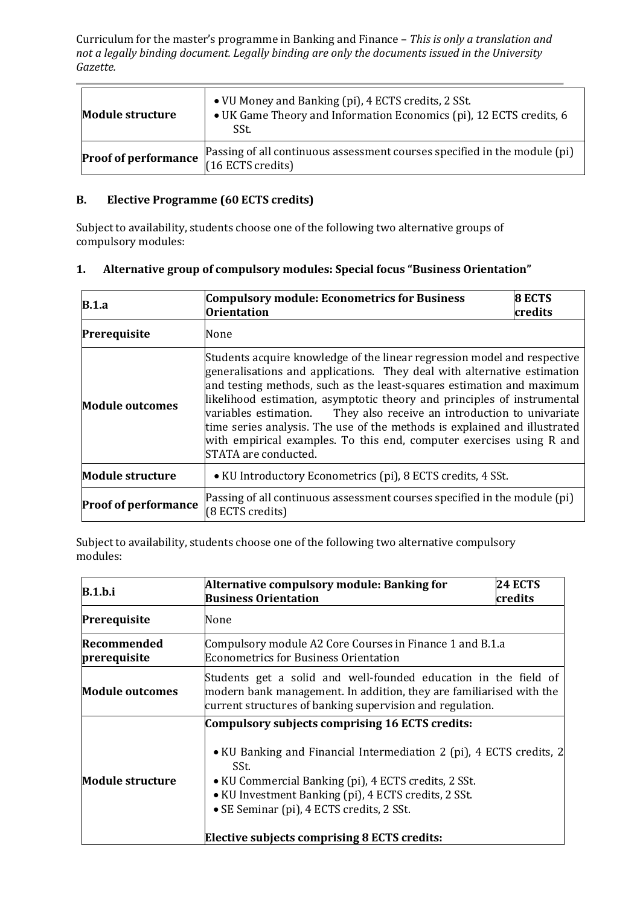| <b>Module structure</b>     | • VU Money and Banking (pi), 4 ECTS credits, 2 SSt.<br>• UK Game Theory and Information Economics (pi), 12 ECTS credits, 6<br>SSt. |
|-----------------------------|------------------------------------------------------------------------------------------------------------------------------------|
| <b>Proof of performance</b> | Passing of all continuous assessment courses specified in the module (pi)<br>(16 ECTS credits)                                     |

# **B. Elective Programme (60 ECTS credits)**

Subject to availability, students choose one of the following two alternative groups of compulsory modules:

# **1. Alternative group of compulsory modules: Special focus "Business Orientation"**

| B.1.a                                                                                                                        | <b>Compulsory module: Econometrics for Business</b><br><b>Orientation</b>                                                                                                                                                                                                                                                                                                                                                                                                                                                                                     | 8 ECTS<br>credits |
|------------------------------------------------------------------------------------------------------------------------------|---------------------------------------------------------------------------------------------------------------------------------------------------------------------------------------------------------------------------------------------------------------------------------------------------------------------------------------------------------------------------------------------------------------------------------------------------------------------------------------------------------------------------------------------------------------|-------------------|
| Prerequisite                                                                                                                 | None                                                                                                                                                                                                                                                                                                                                                                                                                                                                                                                                                          |                   |
| <b>Module outcomes</b>                                                                                                       | Students acquire knowledge of the linear regression model and respective<br>generalisations and applications. They deal with alternative estimation<br>and testing methods, such as the least-squares estimation and maximum<br>likelihood estimation, asymptotic theory and principles of instrumental<br>variables estimation. They also receive an introduction to univariate<br>time series analysis. The use of the methods is explained and illustrated<br>with empirical examples. To this end, computer exercises using R and<br>STATA are conducted. |                   |
| <b>Module structure</b>                                                                                                      | • KU Introductory Econometrics (pi), 8 ECTS credits, 4 SSt.                                                                                                                                                                                                                                                                                                                                                                                                                                                                                                   |                   |
| Passing of all continuous assessment courses specified in the module (pi)<br><b>Proof of performance</b><br>(8 ECTS credits) |                                                                                                                                                                                                                                                                                                                                                                                                                                                                                                                                                               |                   |

Subject to availability, students choose one of the following two alternative compulsory modules:

| <b>B.1.b.i</b>              | Alternative compulsory module: Banking for                                                                                                                                                                                                                                                                                                         | <b>24 ECTS</b> |
|-----------------------------|----------------------------------------------------------------------------------------------------------------------------------------------------------------------------------------------------------------------------------------------------------------------------------------------------------------------------------------------------|----------------|
|                             | <b>Business Orientation</b>                                                                                                                                                                                                                                                                                                                        | credits        |
| Prerequisite                | None                                                                                                                                                                                                                                                                                                                                               |                |
| Recommended<br>prerequisite | Compulsory module A2 Core Courses in Finance 1 and B.1.a<br><b>Econometrics for Business Orientation</b>                                                                                                                                                                                                                                           |                |
| <b>Module outcomes</b>      | Students get a solid and well-founded education in the field of<br>modern bank management. In addition, they are familiarised with the<br>current structures of banking supervision and regulation.                                                                                                                                                |                |
| <b>Module structure</b>     | Compulsory subjects comprising 16 ECTS credits:<br>• KU Banking and Financial Intermediation 2 (pi), 4 ECTS credits, 2<br>SSt.<br>• KU Commercial Banking (pi), 4 ECTS credits, 2 SSt.<br>• KU Investment Banking (pi), 4 ECTS credits, 2 SSt.<br>• SE Seminar (pi), 4 ECTS credits, 2 SSt.<br><b>Elective subjects comprising 8 ECTS credits:</b> |                |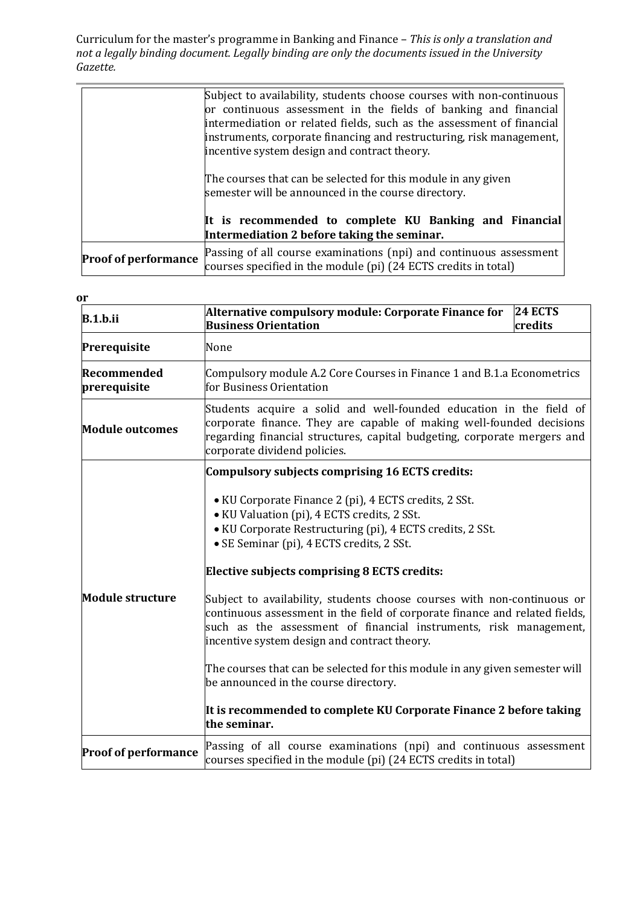|                             | Subject to availability, students choose courses with non-continuous<br>or continuous assessment in the fields of banking and financial<br>intermediation or related fields, such as the assessment of financial<br>instruments, corporate financing and restructuring, risk management,<br>incentive system design and contract theory. |  |  |
|-----------------------------|------------------------------------------------------------------------------------------------------------------------------------------------------------------------------------------------------------------------------------------------------------------------------------------------------------------------------------------|--|--|
|                             | The courses that can be selected for this module in any given<br>semester will be announced in the course directory.<br>It is recommended to complete KU Banking and Financial                                                                                                                                                           |  |  |
|                             | Intermediation 2 before taking the seminar.                                                                                                                                                                                                                                                                                              |  |  |
| <b>Proof of performance</b> | Passing of all course examinations (npi) and continuous assessment<br>courses specified in the module (pi) (24 ECTS credits in total)                                                                                                                                                                                                    |  |  |

| <b>or</b>                   |                                                                                                                                                                                                                                                                             |  |
|-----------------------------|-----------------------------------------------------------------------------------------------------------------------------------------------------------------------------------------------------------------------------------------------------------------------------|--|
| B.1.b.ii                    | Alternative compulsory module: Corporate Finance for<br><b>24 ECTS</b><br><b>Business Orientation</b><br>credits                                                                                                                                                            |  |
| Prerequisite                | None                                                                                                                                                                                                                                                                        |  |
| Recommended<br>prerequisite | Compulsory module A.2 Core Courses in Finance 1 and B.1.a Econometrics<br>for Business Orientation                                                                                                                                                                          |  |
| <b>Module outcomes</b>      | Students acquire a solid and well-founded education in the field of<br>corporate finance. They are capable of making well-founded decisions<br>regarding financial structures, capital budgeting, corporate mergers and<br>corporate dividend policies.                     |  |
|                             | Compulsory subjects comprising 16 ECTS credits:                                                                                                                                                                                                                             |  |
|                             | • KU Corporate Finance 2 (pi), 4 ECTS credits, 2 SSt.<br>• KU Valuation (pi), 4 ECTS credits, 2 SSt.<br>• KU Corporate Restructuring (pi), 4 ECTS credits, 2 SSt.<br>• SE Seminar (pi), 4 ECTS credits, 2 SSt.                                                              |  |
|                             | <b>Elective subjects comprising 8 ECTS credits:</b>                                                                                                                                                                                                                         |  |
| <b>Module structure</b>     | Subject to availability, students choose courses with non-continuous or<br>continuous assessment in the field of corporate finance and related fields,<br>such as the assessment of financial instruments, risk management,<br>incentive system design and contract theory. |  |
|                             | The courses that can be selected for this module in any given semester will<br>be announced in the course directory.                                                                                                                                                        |  |
|                             | It is recommended to complete KU Corporate Finance 2 before taking<br>the seminar.                                                                                                                                                                                          |  |
| <b>Proof of performance</b> | Passing of all course examinations (npi) and continuous assessment<br>courses specified in the module (pi) (24 ECTS credits in total)                                                                                                                                       |  |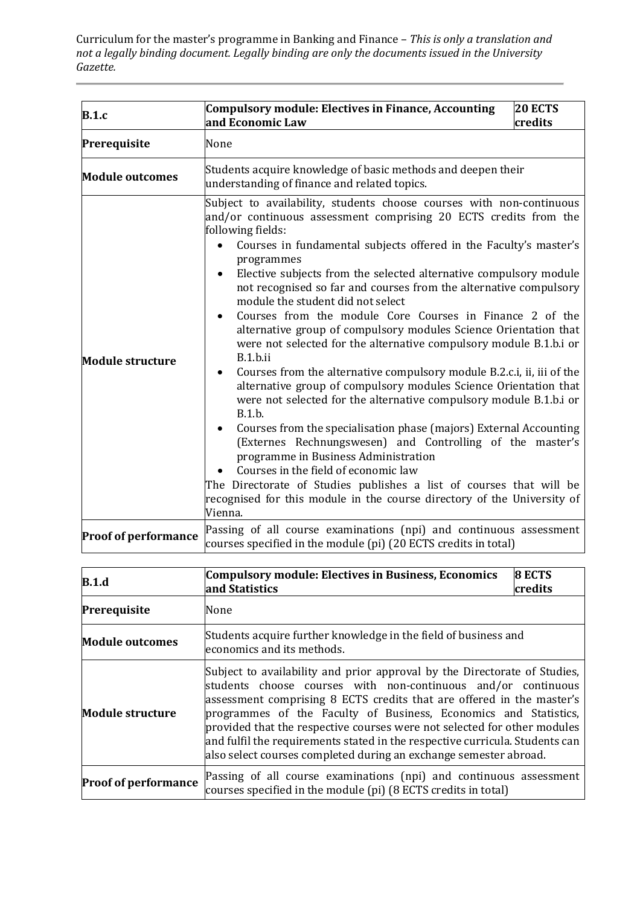| <b>B.1.c</b>                | 20 ECTS<br>Compulsory module: Electives in Finance, Accounting<br>and Economic Law<br>credits                                                                                                                                                                                                                                                                                                                                                                                                                                                                                                                                                                                                                                                                                                                                                                                                                                                                                                                                                                                                                                                                                                                                                                                |  |  |
|-----------------------------|------------------------------------------------------------------------------------------------------------------------------------------------------------------------------------------------------------------------------------------------------------------------------------------------------------------------------------------------------------------------------------------------------------------------------------------------------------------------------------------------------------------------------------------------------------------------------------------------------------------------------------------------------------------------------------------------------------------------------------------------------------------------------------------------------------------------------------------------------------------------------------------------------------------------------------------------------------------------------------------------------------------------------------------------------------------------------------------------------------------------------------------------------------------------------------------------------------------------------------------------------------------------------|--|--|
| Prerequisite                | None                                                                                                                                                                                                                                                                                                                                                                                                                                                                                                                                                                                                                                                                                                                                                                                                                                                                                                                                                                                                                                                                                                                                                                                                                                                                         |  |  |
| <b>Module outcomes</b>      | Students acquire knowledge of basic methods and deepen their<br>understanding of finance and related topics.                                                                                                                                                                                                                                                                                                                                                                                                                                                                                                                                                                                                                                                                                                                                                                                                                                                                                                                                                                                                                                                                                                                                                                 |  |  |
| <b>Module structure</b>     | Subject to availability, students choose courses with non-continuous<br>and/or continuous assessment comprising 20 ECTS credits from the<br>following fields:<br>Courses in fundamental subjects offered in the Faculty's master's<br>programmes<br>Elective subjects from the selected alternative compulsory module<br>not recognised so far and courses from the alternative compulsory<br>module the student did not select<br>Courses from the module Core Courses in Finance 2 of the<br>alternative group of compulsory modules Science Orientation that<br>were not selected for the alternative compulsory module B.1.b.i or<br>B.1.b.ii<br>Courses from the alternative compulsory module B.2.c.i, ii, iii of the<br>$\bullet$<br>alternative group of compulsory modules Science Orientation that<br>were not selected for the alternative compulsory module B.1.b.i or<br>B.1.b.<br>Courses from the specialisation phase (majors) External Accounting<br>(Externes Rechnungswesen) and Controlling of the master's<br>programme in Business Administration<br>Courses in the field of economic law<br>The Directorate of Studies publishes a list of courses that will be<br>recognised for this module in the course directory of the University of<br>Vienna. |  |  |
| <b>Proof of performance</b> | Passing of all course examinations (npi) and continuous assessment<br>courses specified in the module (pi) (20 ECTS credits in total)                                                                                                                                                                                                                                                                                                                                                                                                                                                                                                                                                                                                                                                                                                                                                                                                                                                                                                                                                                                                                                                                                                                                        |  |  |

| B.1.d                       | <b>Compulsory module: Electives in Business, Economics</b><br>and Statistics                                                                                                                                                                                                                                                                                                                                                                                                                                             | 8 ECTS<br>credits |
|-----------------------------|--------------------------------------------------------------------------------------------------------------------------------------------------------------------------------------------------------------------------------------------------------------------------------------------------------------------------------------------------------------------------------------------------------------------------------------------------------------------------------------------------------------------------|-------------------|
| Prerequisite                | None                                                                                                                                                                                                                                                                                                                                                                                                                                                                                                                     |                   |
| <b>Module outcomes</b>      | Students acquire further knowledge in the field of business and<br>economics and its methods.                                                                                                                                                                                                                                                                                                                                                                                                                            |                   |
| <b>Module structure</b>     | Subject to availability and prior approval by the Directorate of Studies,<br>students choose courses with non-continuous and/or continuous<br>assessment comprising 8 ECTS credits that are offered in the master's<br>programmes of the Faculty of Business, Economics and Statistics,<br>provided that the respective courses were not selected for other modules<br>and fulfil the requirements stated in the respective curricula. Students can<br>also select courses completed during an exchange semester abroad. |                   |
| <b>Proof of performance</b> | Passing of all course examinations (npi) and continuous assessment<br>courses specified in the module (pi) (8 ECTS credits in total)                                                                                                                                                                                                                                                                                                                                                                                     |                   |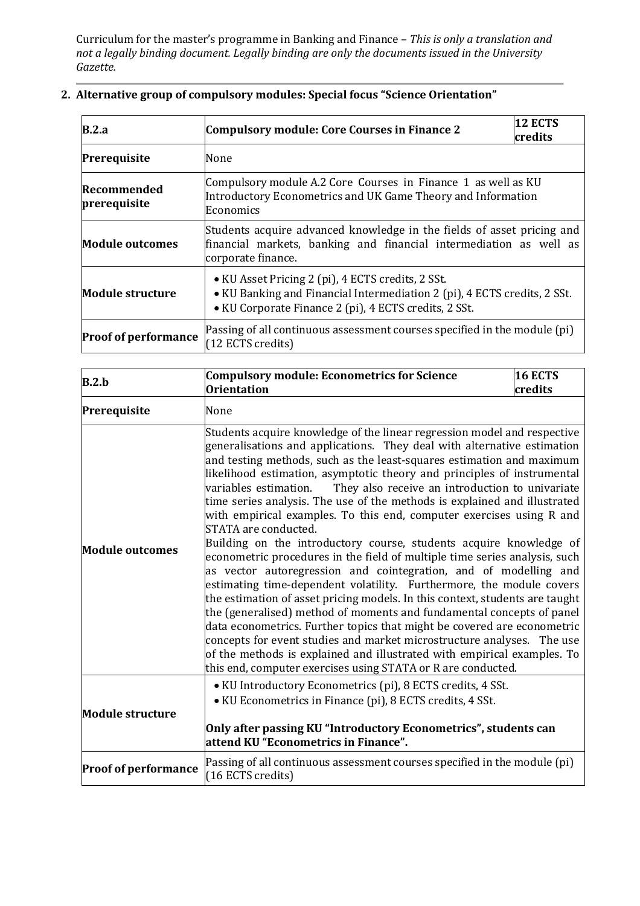| B.2.a                       | <b>Compulsory module: Core Courses in Finance 2</b>                                                                                                                                    | <b>12 ECTS</b><br>credits |  |
|-----------------------------|----------------------------------------------------------------------------------------------------------------------------------------------------------------------------------------|---------------------------|--|
| Prerequisite                | None                                                                                                                                                                                   |                           |  |
| Recommended<br>prerequisite | Compulsory module A.2 Core Courses in Finance 1 as well as KU<br>Introductory Econometrics and UK Game Theory and Information<br>Economics                                             |                           |  |
| <b>Module outcomes</b>      | Students acquire advanced knowledge in the fields of asset pricing and<br>financial markets, banking and financial intermediation as well as<br>corporate finance.                     |                           |  |
| <b>Module structure</b>     | • KU Asset Pricing 2 (pi), 4 ECTS credits, 2 SSt.<br>• KU Banking and Financial Intermediation 2 (pi), 4 ECTS credits, 2 SSt.<br>• KU Corporate Finance 2 (pi), 4 ECTS credits, 2 SSt. |                           |  |
| <b>Proof of performance</b> | Passing of all continuous assessment courses specified in the module (pi)<br>(12 ECTS credits)                                                                                         |                           |  |

|  | 2. Alternative group of compulsory modules: Special focus "Science Orientation" |  |  |  |  |  |
|--|---------------------------------------------------------------------------------|--|--|--|--|--|
|--|---------------------------------------------------------------------------------|--|--|--|--|--|

| B.2.b                                                                                                                                                                                                                                                                                                                                                                                                                                                                                                                                                                                                                                                                                                                                                                                                                                                                                                                                                                                                                                                                                                                                                                                                                                                                                                                                               | <b>Compulsory module: Econometrics for Science</b>                                                                                                                                                                                  | 16 ECTS |  |
|-----------------------------------------------------------------------------------------------------------------------------------------------------------------------------------------------------------------------------------------------------------------------------------------------------------------------------------------------------------------------------------------------------------------------------------------------------------------------------------------------------------------------------------------------------------------------------------------------------------------------------------------------------------------------------------------------------------------------------------------------------------------------------------------------------------------------------------------------------------------------------------------------------------------------------------------------------------------------------------------------------------------------------------------------------------------------------------------------------------------------------------------------------------------------------------------------------------------------------------------------------------------------------------------------------------------------------------------------------|-------------------------------------------------------------------------------------------------------------------------------------------------------------------------------------------------------------------------------------|---------|--|
|                                                                                                                                                                                                                                                                                                                                                                                                                                                                                                                                                                                                                                                                                                                                                                                                                                                                                                                                                                                                                                                                                                                                                                                                                                                                                                                                                     | <b>Orientation</b>                                                                                                                                                                                                                  | credits |  |
| Prerequisite                                                                                                                                                                                                                                                                                                                                                                                                                                                                                                                                                                                                                                                                                                                                                                                                                                                                                                                                                                                                                                                                                                                                                                                                                                                                                                                                        | None                                                                                                                                                                                                                                |         |  |
| Students acquire knowledge of the linear regression model and respective<br>generalisations and applications. They deal with alternative estimation<br>and testing methods, such as the least-squares estimation and maximum<br>likelihood estimation, asymptotic theory and principles of instrumental<br>variables estimation.<br>They also receive an introduction to univariate<br>time series analysis. The use of the methods is explained and illustrated<br>with empirical examples. To this end, computer exercises using R and<br>STATA are conducted.<br>Building on the introductory course, students acquire knowledge of<br><b>Module outcomes</b><br>econometric procedures in the field of multiple time series analysis, such<br>as vector autoregression and cointegration, and of modelling and<br>estimating time-dependent volatility. Furthermore, the module covers<br>the estimation of asset pricing models. In this context, students are taught<br>the (generalised) method of moments and fundamental concepts of panel<br>data econometrics. Further topics that might be covered are econometric<br>concepts for event studies and market microstructure analyses. The use<br>of the methods is explained and illustrated with empirical examples. To<br>this end, computer exercises using STATA or R are conducted. |                                                                                                                                                                                                                                     |         |  |
| <b>Module structure</b>                                                                                                                                                                                                                                                                                                                                                                                                                                                                                                                                                                                                                                                                                                                                                                                                                                                                                                                                                                                                                                                                                                                                                                                                                                                                                                                             | • KU Introductory Econometrics (pi), 8 ECTS credits, 4 SSt.<br>• KU Econometrics in Finance (pi), 8 ECTS credits, 4 SSt.<br>Only after passing KU "Introductory Econometrics", students can<br>attend KU "Econometrics in Finance". |         |  |
| <b>Proof of performance</b>                                                                                                                                                                                                                                                                                                                                                                                                                                                                                                                                                                                                                                                                                                                                                                                                                                                                                                                                                                                                                                                                                                                                                                                                                                                                                                                         | Passing of all continuous assessment courses specified in the module (pi)<br>(16 ECTS credits)                                                                                                                                      |         |  |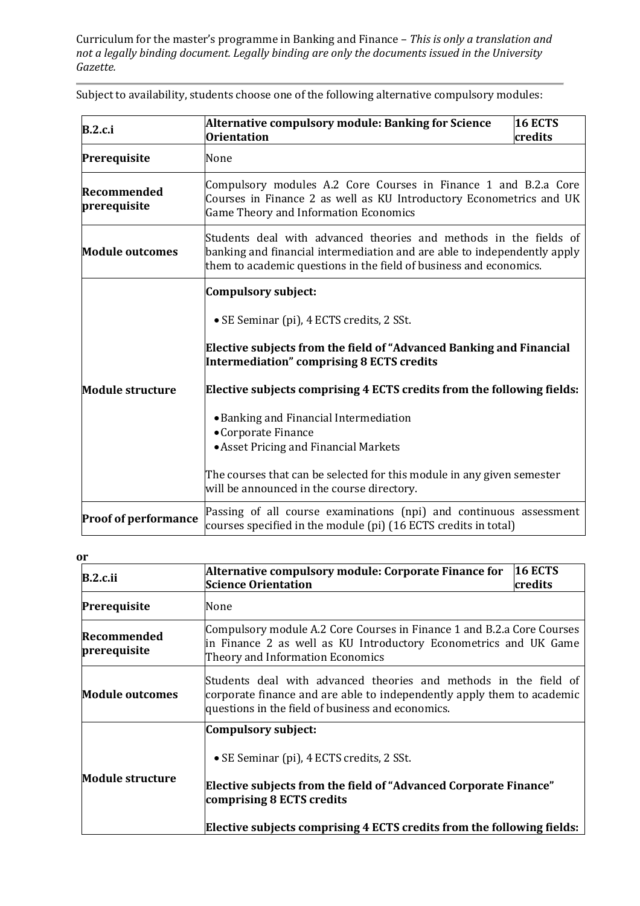| <b>B.2.c.i</b>                                                                                                                                                                                                                                                                                                                                                                                             | Alternative compulsory module: Banking for Science<br>16 ECTS<br><b>Orientation</b><br>credits                                                                                                                      |  |  |
|------------------------------------------------------------------------------------------------------------------------------------------------------------------------------------------------------------------------------------------------------------------------------------------------------------------------------------------------------------------------------------------------------------|---------------------------------------------------------------------------------------------------------------------------------------------------------------------------------------------------------------------|--|--|
| Prerequisite                                                                                                                                                                                                                                                                                                                                                                                               | None                                                                                                                                                                                                                |  |  |
| Recommended<br>prerequisite                                                                                                                                                                                                                                                                                                                                                                                | Compulsory modules A.2 Core Courses in Finance 1 and B.2.a Core<br>Courses in Finance 2 as well as KU Introductory Econometrics and UK<br><b>Game Theory and Information Economics</b>                              |  |  |
| <b>Module outcomes</b>                                                                                                                                                                                                                                                                                                                                                                                     | Students deal with advanced theories and methods in the fields of<br>banking and financial intermediation and are able to independently apply<br>them to academic questions in the field of business and economics. |  |  |
| <b>Compulsory subject:</b><br>• SE Seminar (pi), 4 ECTS credits, 2 SSt.<br>Elective subjects from the field of "Advanced Banking and Financial<br>Intermediation" comprising 8 ECTS credits<br>Elective subjects comprising 4 ECTS credits from the following fields:<br><b>Module structure</b><br>• Banking and Financial Intermediation<br>• Corporate Finance<br>• Asset Pricing and Financial Markets |                                                                                                                                                                                                                     |  |  |
|                                                                                                                                                                                                                                                                                                                                                                                                            | The courses that can be selected for this module in any given semester<br>will be announced in the course directory.                                                                                                |  |  |
| <b>Proof of performance</b>                                                                                                                                                                                                                                                                                                                                                                                | Passing of all course examinations (npi) and continuous assessment<br>courses specified in the module (pi) (16 ECTS credits in total)                                                                               |  |  |

Subject to availability, students choose one of the following alternative compulsory modules:

#### **or**

| B.2.c.ii                    | 16 ECTS<br>Alternative compulsory module: Corporate Finance for<br><b>Science Orientation</b><br>credits                                                                                                                                    |  |  |
|-----------------------------|---------------------------------------------------------------------------------------------------------------------------------------------------------------------------------------------------------------------------------------------|--|--|
| Prerequisite                | None                                                                                                                                                                                                                                        |  |  |
| Recommended<br>prerequisite | Compulsory module A.2 Core Courses in Finance 1 and B.2.a Core Courses<br>in Finance 2 as well as KU Introductory Econometrics and UK Game<br>Theory and Information Economics                                                              |  |  |
| <b>Module outcomes</b>      | Students deal with advanced theories and methods in the field of<br>corporate finance and are able to independently apply them to academic<br>questions in the field of business and economics.                                             |  |  |
| <b>Module structure</b>     | Compulsory subject:<br>• SE Seminar (pi), 4 ECTS credits, 2 SSt.<br>Elective subjects from the field of "Advanced Corporate Finance"<br>comprising 8 ECTS credits<br>Elective subjects comprising 4 ECTS credits from the following fields: |  |  |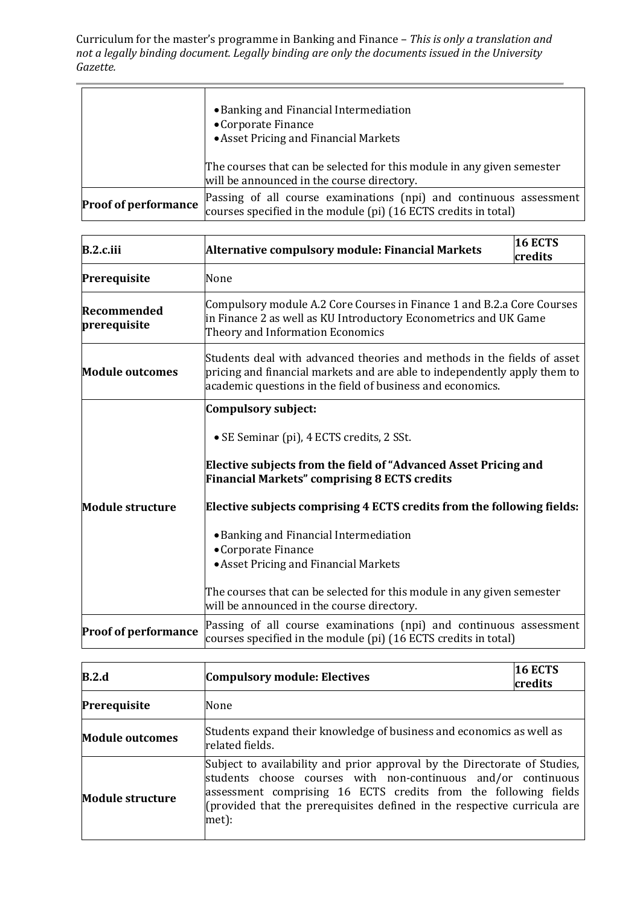|                             | • Banking and Financial Intermediation<br>• Corporate Finance<br>• Asset Pricing and Financial Markets<br>The courses that can be selected for this module in any given semester |
|-----------------------------|----------------------------------------------------------------------------------------------------------------------------------------------------------------------------------|
|                             | will be announced in the course directory.                                                                                                                                       |
| <b>Proof of performance</b> | Passing of all course examinations (npi) and continuous assessment<br>courses specified in the module (pi) (16 ECTS credits in total)                                            |

| $B.2.c.$ iii                | <b>16 ECTS</b><br>Alternative compulsory module: Financial Markets<br>credits                                                                                                                                                                                               |  |  |
|-----------------------------|-----------------------------------------------------------------------------------------------------------------------------------------------------------------------------------------------------------------------------------------------------------------------------|--|--|
| Prerequisite                | None                                                                                                                                                                                                                                                                        |  |  |
| Recommended<br>prerequisite | Compulsory module A.2 Core Courses in Finance 1 and B.2.a Core Courses<br>in Finance 2 as well as KU Introductory Econometrics and UK Game<br>Theory and Information Economics                                                                                              |  |  |
| <b>Module outcomes</b>      | Students deal with advanced theories and methods in the fields of asset<br>pricing and financial markets and are able to independently apply them to<br>academic questions in the field of business and economics.                                                          |  |  |
| <b>Module structure</b>     | <b>Compulsory subject:</b><br>• SE Seminar (pi), 4 ECTS credits, 2 SSt.<br>Elective subjects from the field of "Advanced Asset Pricing and<br><b>Financial Markets" comprising 8 ECTS credits</b><br>Elective subjects comprising 4 ECTS credits from the following fields: |  |  |
|                             | • Banking and Financial Intermediation<br>• Corporate Finance<br>• Asset Pricing and Financial Markets<br>The courses that can be selected for this module in any given semester<br>will be announced in the course directory.                                              |  |  |
| <b>Proof of performance</b> | Passing of all course examinations (npi) and continuous assessment<br>courses specified in the module (pi) (16 ECTS credits in total)                                                                                                                                       |  |  |

| B.2.d                   | <b>Compulsory module: Electives</b>                                                                                                                                                                                                                                                                | <b>16 ECTS</b><br>credits |  |
|-------------------------|----------------------------------------------------------------------------------------------------------------------------------------------------------------------------------------------------------------------------------------------------------------------------------------------------|---------------------------|--|
| Prerequisite            | None                                                                                                                                                                                                                                                                                               |                           |  |
| <b>Module outcomes</b>  | Students expand their knowledge of business and economics as well as<br>related fields.                                                                                                                                                                                                            |                           |  |
| <b>Module structure</b> | Subject to availability and prior approval by the Directorate of Studies,<br>students choose courses with non-continuous and/or continuous<br>assessment comprising 16 ECTS credits from the following fields<br>(provided that the prerequisites defined in the respective curricula are<br>met): |                           |  |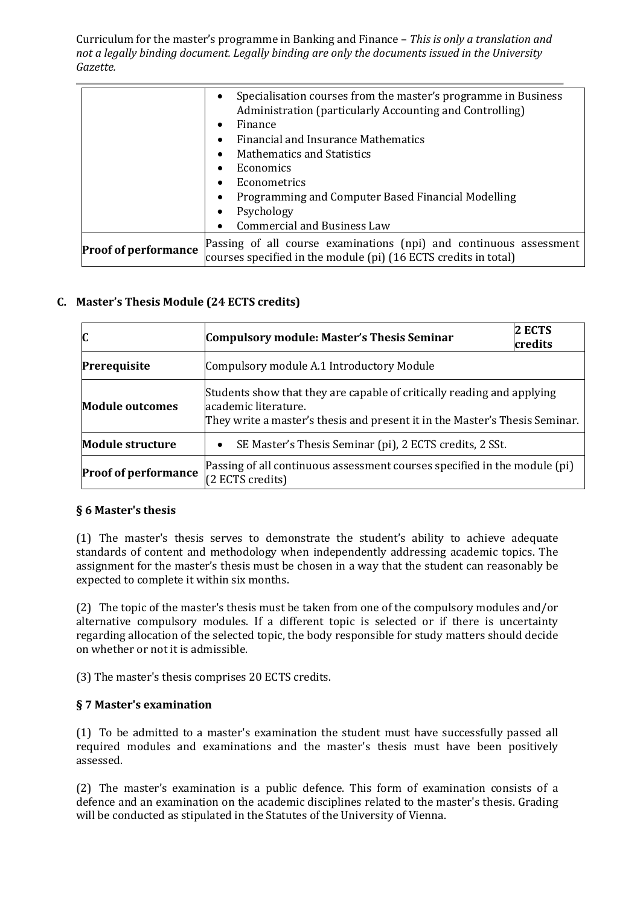|                             | Specialisation courses from the master's programme in Business<br>$\bullet$<br>Administration (particularly Accounting and Controlling)<br>Finance<br>$\bullet$<br>Financial and Insurance Mathematics<br>$\bullet$<br><b>Mathematics and Statistics</b><br>$\bullet$<br><b>Economics</b><br>$\bullet$<br>Econometrics<br>$\bullet$<br>Programming and Computer Based Financial Modelling<br>$\bullet$ |
|-----------------------------|--------------------------------------------------------------------------------------------------------------------------------------------------------------------------------------------------------------------------------------------------------------------------------------------------------------------------------------------------------------------------------------------------------|
|                             | Psychology<br>$\bullet$<br><b>Commercial and Business Law</b><br>$\bullet$                                                                                                                                                                                                                                                                                                                             |
| <b>Proof of performance</b> | Passing of all course examinations (npi) and continuous assessment<br>courses specified in the module (pi) (16 ECTS credits in total)                                                                                                                                                                                                                                                                  |

### **C. Master's Thesis Module (24 ECTS credits)**

| $\mathbf{C}$                | <b>Compulsory module: Master's Thesis Seminar</b>                                                                                                                             | 2 ECTS<br>credits |  |
|-----------------------------|-------------------------------------------------------------------------------------------------------------------------------------------------------------------------------|-------------------|--|
| Prerequisite                | Compulsory module A.1 Introductory Module                                                                                                                                     |                   |  |
| <b>Module outcomes</b>      | Students show that they are capable of critically reading and applying<br>academic literature.<br>They write a master's thesis and present it in the Master's Thesis Seminar. |                   |  |
| <b>Module structure</b>     | SE Master's Thesis Seminar (pi), 2 ECTS credits, 2 SSt.<br>$\bullet$                                                                                                          |                   |  |
| <b>Proof of performance</b> | Passing of all continuous assessment courses specified in the module (pi)<br>$(2$ ECTS credits)                                                                               |                   |  |

#### **§ 6 Master's thesis**

(1) The master's thesis serves to demonstrate the student's ability to achieve adequate standards of content and methodology when independently addressing academic topics. The assignment for the master's thesis must be chosen in a way that the student can reasonably be expected to complete it within six months.

(2) The topic of the master's thesis must be taken from one of the compulsory modules and/or alternative compulsory modules. If a different topic is selected or if there is uncertainty regarding allocation of the selected topic, the body responsible for study matters should decide on whether or not it is admissible.

(3) The master's thesis comprises 20 ECTS credits.

#### **§ 7 Master's examination**

(1) To be admitted to a master's examination the student must have successfully passed all required modules and examinations and the master's thesis must have been positively assessed.

(2) The master's examination is a public defence. This form of examination consists of a defence and an examination on the academic disciplines related to the master's thesis. Grading will be conducted as stipulated in the Statutes of the University of Vienna.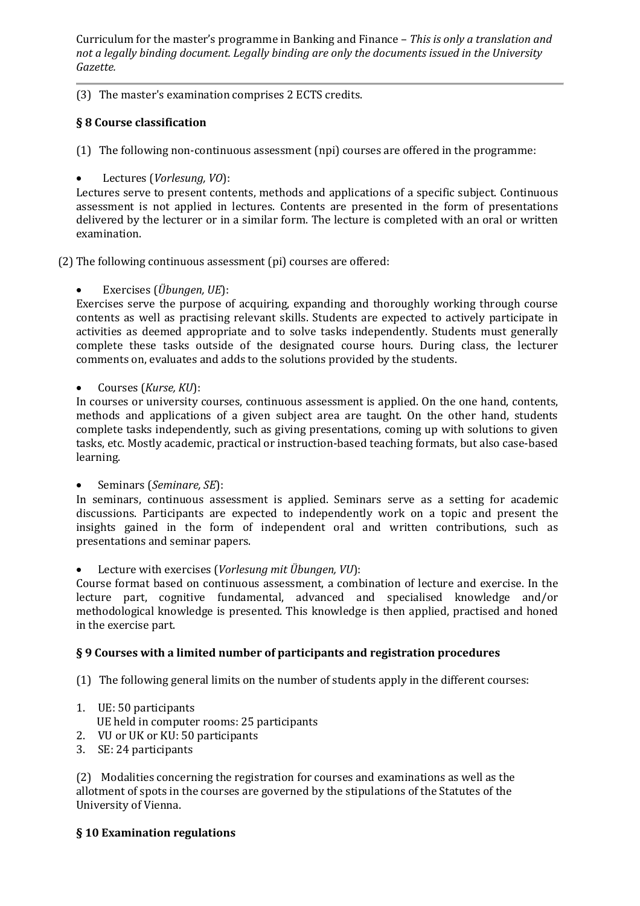(3) The master's examination comprises 2 ECTS credits.

# **§ 8 Course classification**

(1) The following non-continuous assessment (npi) courses are offered in the programme:

• Lectures (*Vorlesung, VO*):

Lectures serve to present contents, methods and applications of a specific subject. Continuous assessment is not applied in lectures. Contents are presented in the form of presentations delivered by the lecturer or in a similar form. The lecture is completed with an oral or written examination.

(2) The following continuous assessment (pi) courses are offered:

• Exercises (*Übungen, UE*):

Exercises serve the purpose of acquiring, expanding and thoroughly working through course contents as well as practising relevant skills. Students are expected to actively participate in activities as deemed appropriate and to solve tasks independently. Students must generally complete these tasks outside of the designated course hours. During class, the lecturer comments on, evaluates and adds to the solutions provided by the students.

• Courses (*Kurse, KU*):

In courses or university courses, continuous assessment is applied. On the one hand, contents, methods and applications of a given subject area are taught. On the other hand, students complete tasks independently, such as giving presentations, coming up with solutions to given tasks, etc. Mostly academic, practical or instruction-based teaching formats, but also case-based learning.

• Seminars (*Seminare, SE*):

In seminars, continuous assessment is applied. Seminars serve as a setting for academic discussions. Participants are expected to independently work on a topic and present the insights gained in the form of independent oral and written contributions, such as presentations and seminar papers.

• Lecture with exercises (*Vorlesung mit Übungen, VU*):

Course format based on continuous assessment, a combination of lecture and exercise. In the lecture part, cognitive fundamental, advanced and specialised knowledge and/or methodological knowledge is presented. This knowledge is then applied, practised and honed in the exercise part.

# **§ 9 Courses with a limited number of participants and registration procedures**

(1) The following general limits on the number of students apply in the different courses:

1. UE: 50 participants

UE held in computer rooms: 25 participants

- 2. VU or UK or KU: 50 participants
- 3. SE: 24 participants

(2) Modalities concerning the registration for courses and examinations as well as the allotment of spots in the courses are governed by the stipulations of the Statutes of the University of Vienna.

# **§ 10 Examination regulations**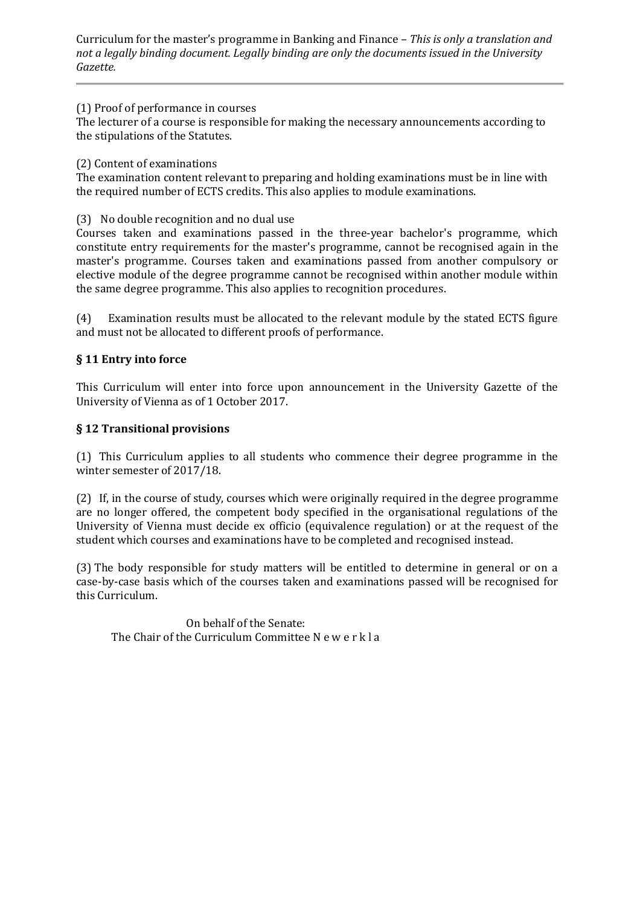### (1) Proof of performance in courses

The lecturer of a course is responsible for making the necessary announcements according to the stipulations of the Statutes.

# (2) Content of examinations

The examination content relevant to preparing and holding examinations must be in line with the required number of ECTS credits. This also applies to module examinations.

## (3) No double recognition and no dual use

Courses taken and examinations passed in the three-year bachelor's programme, which constitute entry requirements for the master's programme, cannot be recognised again in the master's programme. Courses taken and examinations passed from another compulsory or elective module of the degree programme cannot be recognised within another module within the same degree programme. This also applies to recognition procedures.

(4) Examination results must be allocated to the relevant module by the stated ECTS figure and must not be allocated to different proofs of performance.

# **§ 11 Entry into force**

This Curriculum will enter into force upon announcement in the University Gazette of the University of Vienna as of 1 October 2017.

# **§ 12 Transitional provisions**

(1) This Curriculum applies to all students who commence their degree programme in the winter semester of 2017/18.

(2) If, in the course of study, courses which were originally required in the degree programme are no longer offered, the competent body specified in the organisational regulations of the University of Vienna must decide ex officio (equivalence regulation) or at the request of the student which courses and examinations have to be completed and recognised instead.

(3) The body responsible for study matters will be entitled to determine in general or on a case-by-case basis which of the courses taken and examinations passed will be recognised for this Curriculum.

On behalf of the Senate: The Chair of the Curriculum Committee N e w e r k l a